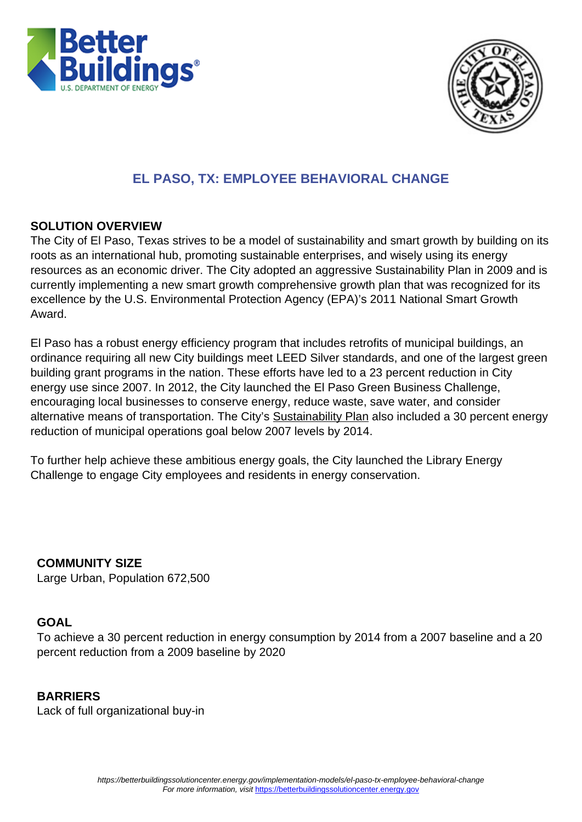



# **EL PASO, TX: EMPLOYEE BEHAVIORAL CHANGE**

### **SOLUTION OVERVIEW**

The City of El Paso, Texas strives to be a model of sustainability and smart growth by building on its roots as an international hub, promoting sustainable enterprises, and wisely using its energy resources as an economic driver. The City adopted an aggressive Sustainability Plan in 2009 and is currently implementing a new smart growth comprehensive growth plan that was recognized for its excellence by the U.S. Environmental Protection Agency (EPA)'s 2011 National Smart Growth Award.

El Paso has a robust energy efficiency program that includes retrofits of municipal buildings, an ordinance requiring all new City buildings meet LEED Silver standards, and one of the largest green building grant programs in the nation. These efforts have led to a 23 percent reduction in City energy use since 2007. In 2012, the City launched the El Paso Green Business Challenge, encouraging local businesses to conserve energy, reduce waste, save water, and consider alternative means of transportation. The City's [Sustainability Plan](http://www.elpasotexas.gov/muni_clerk/meetings/lrcm0618091330/06180903%20Sustainability%20Plan.pdf) also included a 30 percent energy reduction of municipal operations goal below 2007 levels by 2014.

To further help achieve these ambitious energy goals, the City launched the Library Energy Challenge to engage City employees and residents in energy conservation.

 **COMMUNITY SIZE** Large Urban, Population 672,500

### **GOAL**

To achieve a 30 percent reduction in energy consumption by 2014 from a 2007 baseline and a 20 percent reduction from a 2009 baseline by 2020

 **BARRIERS** Lack of full organizational buy-in

> https://betterbuildingssolutioncenter.energy.gov/implementation-models/el-paso-tx-employee-behavioral-change For more information, visit <https://betterbuildingssolutioncenter.energy.gov>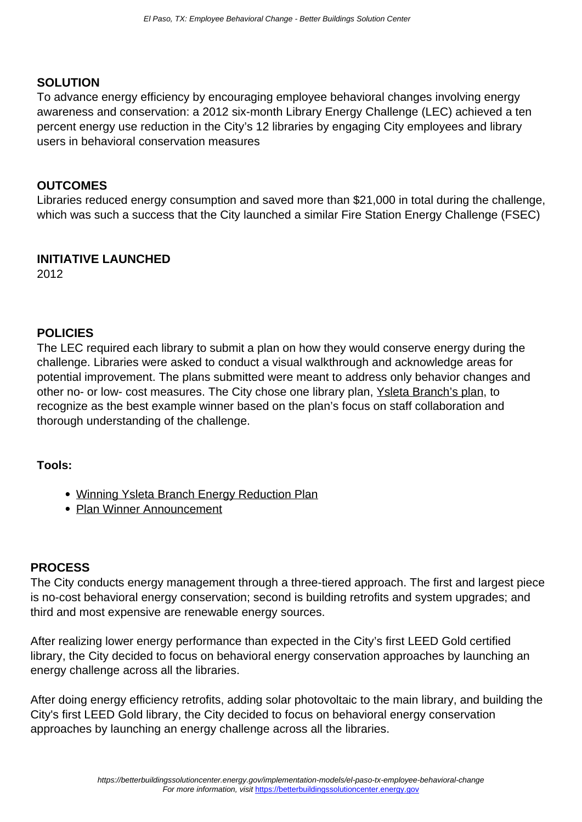### **SOLUTION**

To advance energy efficiency by encouraging employee behavioral changes involving energy awareness and conservation: a 2012 six-month Library Energy Challenge (LEC) achieved a ten percent energy use reduction in the City's 12 libraries by engaging City employees and library users in behavioral conservation measures

### **OUTCOMES**

Libraries reduced energy consumption and saved more than \$21,000 in total during the challenge, which was such a success that the City launched a similar Fire Station Energy Challenge (FSEC)

### **INITIATIVE LAUNCHED**

2012

### **POLICIES**

The LEC required each library to submit a plan on how they would conserve energy during the challenge. Libraries were asked to conduct a visual walkthrough and acknowledge areas for potential improvement. The plans submitted were meant to address only behavior changes and other no- or low- cost measures. The City chose one library plan, [Ysleta Branch's plan,](https://www4.eere.energy.gov/challenge/sites/default/files/uploaded-files/Ysleta-Branch-Library-Energy-Reduction-Plan.pdf) to recognize as the best example winner based on the plan's focus on staff collaboration and thorough understanding of the challenge.

#### **Tools:**

- [Winning Ysleta Branch Energy Reduction Plan](https://www4.eere.energy.gov/challenge/sites/default/files/uploaded-files/Ysleta-Branch-Library-Energy-Reduction-Plan.pdf)
- [Plan Winner Announcement](https://www4.eere.energy.gov/challenge/implementation-model/el-paso?width=625&height=500&inline=true#winner)

### **PROCESS**

The City conducts energy management through a three-tiered approach. The first and largest piece is no-cost behavioral energy conservation; second is building retrofits and system upgrades; and third and most expensive are renewable energy sources.

After realizing lower energy performance than expected in the City's first LEED Gold certified library, the City decided to focus on behavioral energy conservation approaches by launching an energy challenge across all the libraries.

After doing energy efficiency retrofits, adding solar photovoltaic to the main library, and building the City's first LEED Gold library, the City decided to focus on behavioral energy conservation approaches by launching an energy challenge across all the libraries.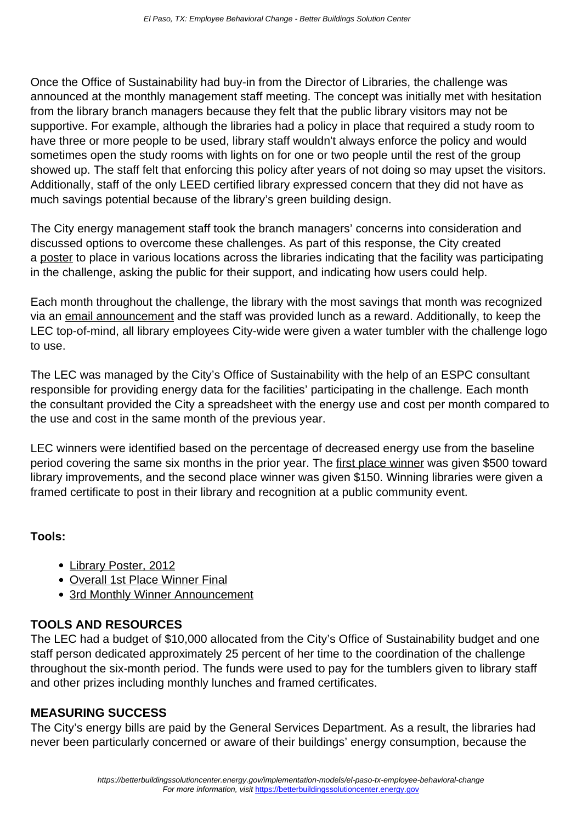Once the Office of Sustainability had buy-in from the Director of Libraries, the challenge was announced at the monthly management staff meeting. The concept was initially met with hesitation from the library branch managers because they felt that the public library visitors may not be supportive. For example, although the libraries had a policy in place that required a study room to have three or more people to be used, library staff wouldn't always enforce the policy and would sometimes open the study rooms with lights on for one or two people until the rest of the group showed up. The staff felt that enforcing this policy after years of not doing so may upset the visitors. Additionally, staff of the only LEED certified library expressed concern that they did not have as much savings potential because of the library's green building design.

The City energy management staff took the branch managers' concerns into consideration and discussed options to overcome these challenges. As part of this response, the City created a [poster](https://www4.eere.energy.gov/challenge/sites/default/files/uploaded-files/Library-Poster-2012.pdf) to place in various locations across the libraries indicating that the facility was participating in the challenge, asking the public for their support, and indicating how users could help.

Each month throughout the challenge, the library with the most savings that month was recognized via an [email announcement](https://www4.eere.energy.gov/challenge/implementation-model/el-paso?width=1000&height=800&inline=true#email) and the staff was provided lunch as a reward. Additionally, to keep the LEC top-of-mind, all library employees City-wide were given a water tumbler with the challenge logo to use.

The LEC was managed by the City's Office of Sustainability with the help of an ESPC consultant responsible for providing energy data for the facilities' participating in the challenge. Each month the consultant provided the City a spreadsheet with the energy use and cost per month compared to the use and cost in the same month of the previous year.

LEC winners were identified based on the percentage of decreased energy use from the baseline period covering the same six months in the prior year. The [first place winner](https://www4.eere.energy.gov/challenge/implementation-model/el-paso?width=1000&height=800&inline=true#firstplace) was given \$500 toward library improvements, and the second place winner was given \$150. Winning libraries were given a framed certificate to post in their library and recognition at a public community event.

### **Tools:**

- [Library Poster, 2012](https://www4.eere.energy.gov/challenge/sites/default/files/uploaded-files/Library-Poster-2012.pdf)
- [Overall 1st Place Winner Final](https://www4.eere.energy.gov/challenge/implementation-model/el-paso?width=6250&height=500&inline=true#firstplace)
- [3rd Monthly Winner Announcement](https://www4.eere.energy.gov/challenge/implementation-model/el-paso?width=625&height=500&inline=true#email)

## **TOOLS AND RESOURCES**

The LEC had a budget of \$10,000 allocated from the City's Office of Sustainability budget and one staff person dedicated approximately 25 percent of her time to the coordination of the challenge throughout the six-month period. The funds were used to pay for the tumblers given to library staff and other prizes including monthly lunches and framed certificates.

### **MEASURING SUCCESS**

The City's energy bills are paid by the General Services Department. As a result, the libraries had never been particularly concerned or aware of their buildings' energy consumption, because the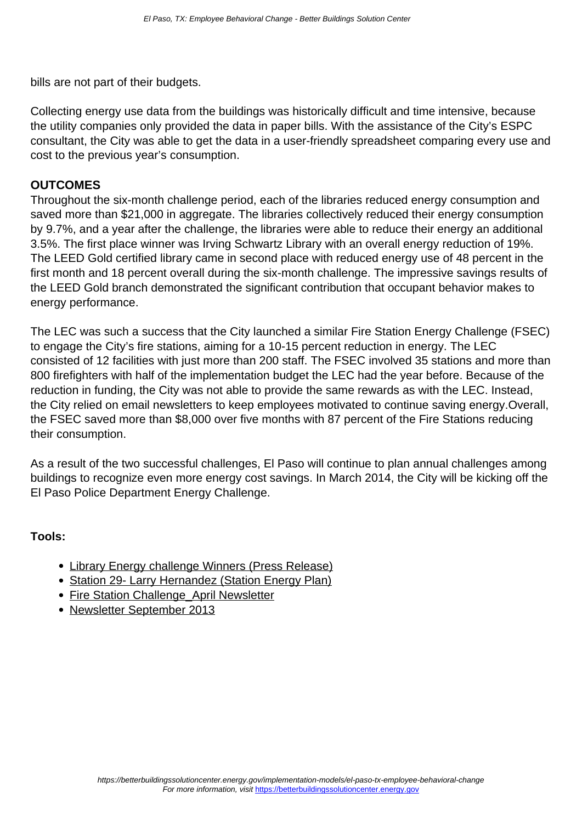bills are not part of their budgets.

Collecting energy use data from the buildings was historically difficult and time intensive, because the utility companies only provided the data in paper bills. With the assistance of the City's ESPC consultant, the City was able to get the data in a user-friendly spreadsheet comparing every use and cost to the previous year's consumption.

### **OUTCOMES**

Throughout the six-month challenge period, each of the libraries reduced energy consumption and saved more than \$21,000 in aggregate. The libraries collectively reduced their energy consumption by 9.7%, and a year after the challenge, the libraries were able to reduce their energy an additional 3.5%. The first place winner was Irving Schwartz Library with an overall energy reduction of 19%. The LEED Gold certified library came in second place with reduced energy use of 48 percent in the first month and 18 percent overall during the six-month challenge. The impressive savings results of the LEED Gold branch demonstrated the significant contribution that occupant behavior makes to energy performance.

The LEC was such a success that the City launched a similar Fire Station Energy Challenge (FSEC) to engage the City's fire stations, aiming for a 10-15 percent reduction in energy. The LEC consisted of 12 facilities with just more than 200 staff. The FSEC involved 35 stations and more than 800 firefighters with half of the implementation budget the LEC had the year before. Because of the reduction in funding, the City was not able to provide the same rewards as with the LEC. Instead, the City relied on email newsletters to keep employees motivated to continue saving energy.Overall, the FSEC saved more than \$8,000 over five months with 87 percent of the Fire Stations reducing their consumption.

As a result of the two successful challenges, El Paso will continue to plan annual challenges among buildings to recognize even more energy cost savings. In March 2014, the City will be kicking off the El Paso Police Department Energy Challenge.

### **Tools:**

- [Library Energy challenge Winners \(Press Release\)](https://www4.eere.energy.gov/challenge/sites/default/files/uploaded-files/Library-Energy-Challenge-Winners.pdf)
- [Station 29- Larry Hernandez \(Station Energy Plan\)](https://www4.eere.energy.gov/challenge/sites/default/files/uploaded-files/Station-29-Larry-Hernandez.pdf)
- Fire Station Challenge April Newsletter
- [Newsletter September 2013](https://www4.eere.energy.gov/challenge/sites/default/files/uploaded-files/Newsletter_September-2013.pdf)